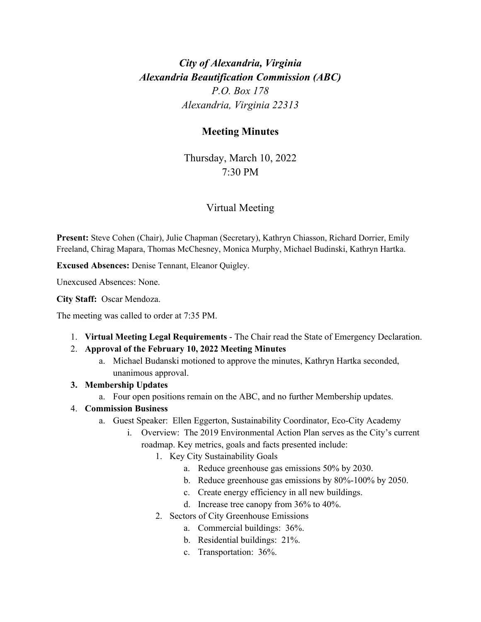# *City of Alexandria, Virginia Alexandria Beautification Commission (ABC) P.O. Box 178 Alexandria, Virginia 22313*

## **Meeting Minutes**

Thursday, March 10, 2022 7:30 PM

## Virtual Meeting

**Present:** Steve Cohen (Chair), Julie Chapman (Secretary), Kathryn Chiasson, Richard Dorrier, Emily Freeland, Chirag Mapara, Thomas McChesney, Monica Murphy, Michael Budinski, Kathryn Hartka.

**Excused Absences:** Denise Tennant, Eleanor Quigley.

Unexcused Absences: None.

**City Staff:** Oscar Mendoza.

The meeting was called to order at 7:35 PM.

1. **Virtual Meeting Legal Requirements** - The Chair read the State of Emergency Declaration.

#### 2. **Approval of the February 10, 2022 Meeting Minutes**

a. Michael Budanski motioned to approve the minutes, Kathryn Hartka seconded, unanimous approval.

#### **3. Membership Updates**

a. Four open positions remain on the ABC, and no further Membership updates.

#### 4. **Commission Business**

- a. Guest Speaker: Ellen Eggerton, Sustainability Coordinator, Eco-City Academy
	- i. Overview: The 2019 Environmental Action Plan serves as the City's current roadmap. Key metrics, goals and facts presented include:
		- 1. Key City Sustainability Goals
			- a. Reduce greenhouse gas emissions 50% by 2030.
			- b. Reduce greenhouse gas emissions by 80%-100% by 2050.
			- c. Create energy efficiency in all new buildings.
			- d. Increase tree canopy from 36% to 40%.
		- 2. Sectors of City Greenhouse Emissions
			- a. Commercial buildings: 36%.
				- b. Residential buildings: 21%.
				- c. Transportation: 36%.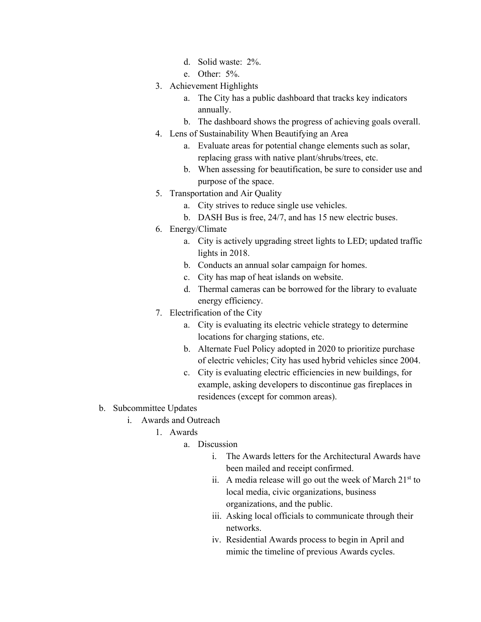- d. Solid waste: 2%.
- e. Other: 5%.
- 3. Achievement Highlights
	- a. The City has a public dashboard that tracks key indicators annually.
	- b. The dashboard shows the progress of achieving goals overall.
- 4. Lens of Sustainability When Beautifying an Area
	- a. Evaluate areas for potential change elements such as solar, replacing grass with native plant/shrubs/trees, etc.
	- b. When assessing for beautification, be sure to consider use and purpose of the space.
- 5. Transportation and Air Quality
	- a. City strives to reduce single use vehicles.
	- b. DASH Bus is free, 24/7, and has 15 new electric buses.
- 6. Energy/Climate
	- a. City is actively upgrading street lights to LED; updated traffic lights in 2018.
	- b. Conducts an annual solar campaign for homes.
	- c. City has map of heat islands on website.
	- d. Thermal cameras can be borrowed for the library to evaluate energy efficiency.
- 7. Electrification of the City
	- a. City is evaluating its electric vehicle strategy to determine locations for charging stations, etc.
	- b. Alternate Fuel Policy adopted in 2020 to prioritize purchase of electric vehicles; City has used hybrid vehicles since 2004.
	- c. City is evaluating electric efficiencies in new buildings, for example, asking developers to discontinue gas fireplaces in residences (except for common areas).
- b. Subcommittee Updates
	- i. Awards and Outreach
		- 1. Awards
			- a. Discussion
				- i. The Awards letters for the Architectural Awards have been mailed and receipt confirmed.
				- ii. A media release will go out the week of March  $21<sup>st</sup>$  to local media, civic organizations, business organizations, and the public.
				- iii. Asking local officials to communicate through their networks.
				- iv. Residential Awards process to begin in April and mimic the timeline of previous Awards cycles.